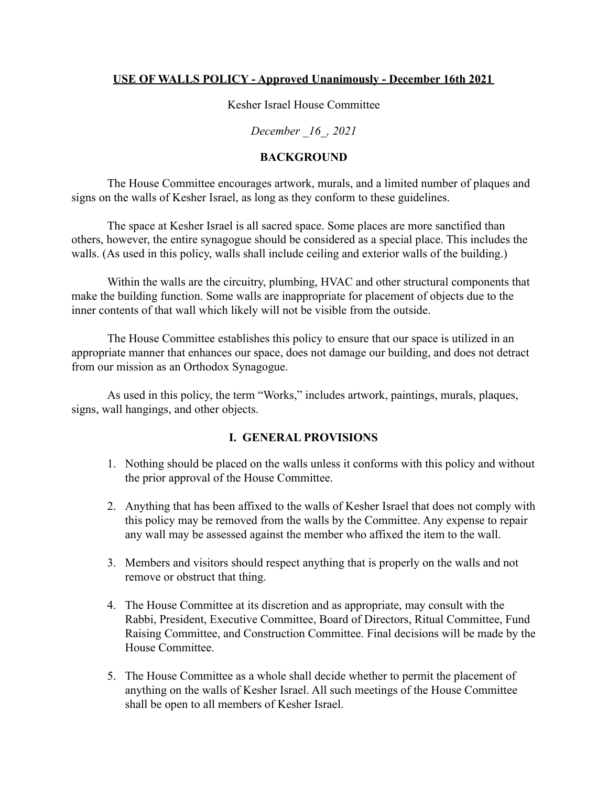#### **USE OF WALLS POLICY - Approved Unanimously - December 16th 2021**

Kesher Israel House Committee

*December \_16\_, 2021*

#### **BACKGROUND**

The House Committee encourages artwork, murals, and a limited number of plaques and signs on the walls of Kesher Israel, as long as they conform to these guidelines.

The space at Kesher Israel is all sacred space. Some places are more sanctified than others, however, the entire synagogue should be considered as a special place. This includes the walls. (As used in this policy, walls shall include ceiling and exterior walls of the building.)

Within the walls are the circuitry, plumbing, HVAC and other structural components that make the building function. Some walls are inappropriate for placement of objects due to the inner contents of that wall which likely will not be visible from the outside.

The House Committee establishes this policy to ensure that our space is utilized in an appropriate manner that enhances our space, does not damage our building, and does not detract from our mission as an Orthodox Synagogue.

As used in this policy, the term "Works," includes artwork, paintings, murals, plaques, signs, wall hangings, and other objects.

#### **I. GENERAL PROVISIONS**

- 1. Nothing should be placed on the walls unless it conforms with this policy and without the prior approval of the House Committee.
- 2. Anything that has been affixed to the walls of Kesher Israel that does not comply with this policy may be removed from the walls by the Committee. Any expense to repair any wall may be assessed against the member who affixed the item to the wall.
- 3. Members and visitors should respect anything that is properly on the walls and not remove or obstruct that thing.
- 4. The House Committee at its discretion and as appropriate, may consult with the Rabbi, President, Executive Committee, Board of Directors, Ritual Committee, Fund Raising Committee, and Construction Committee. Final decisions will be made by the House Committee.
- 5. The House Committee as a whole shall decide whether to permit the placement of anything on the walls of Kesher Israel. All such meetings of the House Committee shall be open to all members of Kesher Israel.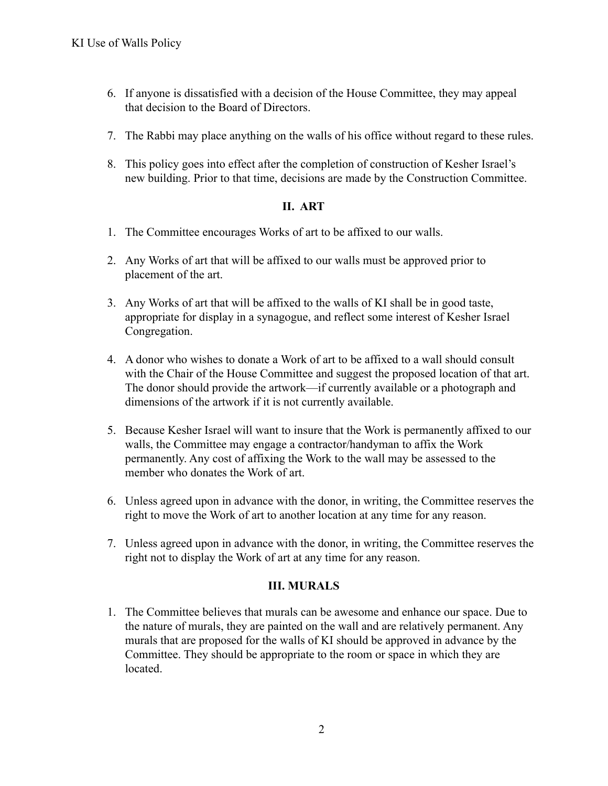- 6. If anyone is dissatisfied with a decision of the House Committee, they may appeal that decision to the Board of Directors.
- 7. The Rabbi may place anything on the walls of his office without regard to these rules.
- 8. This policy goes into effect after the completion of construction of Kesher Israel's new building. Prior to that time, decisions are made by the Construction Committee.

### **II. ART**

- 1. The Committee encourages Works of art to be affixed to our walls.
- 2. Any Works of art that will be affixed to our walls must be approved prior to placement of the art.
- 3. Any Works of art that will be affixed to the walls of KI shall be in good taste, appropriate for display in a synagogue, and reflect some interest of Kesher Israel Congregation.
- 4. A donor who wishes to donate a Work of art to be affixed to a wall should consult with the Chair of the House Committee and suggest the proposed location of that art. The donor should provide the artwork—if currently available or a photograph and dimensions of the artwork if it is not currently available.
- 5. Because Kesher Israel will want to insure that the Work is permanently affixed to our walls, the Committee may engage a contractor/handyman to affix the Work permanently. Any cost of affixing the Work to the wall may be assessed to the member who donates the Work of art.
- 6. Unless agreed upon in advance with the donor, in writing, the Committee reserves the right to move the Work of art to another location at any time for any reason.
- 7. Unless agreed upon in advance with the donor, in writing, the Committee reserves the right not to display the Work of art at any time for any reason.

### **III. MURALS**

1. The Committee believes that murals can be awesome and enhance our space. Due to the nature of murals, they are painted on the wall and are relatively permanent. Any murals that are proposed for the walls of KI should be approved in advance by the Committee. They should be appropriate to the room or space in which they are **located**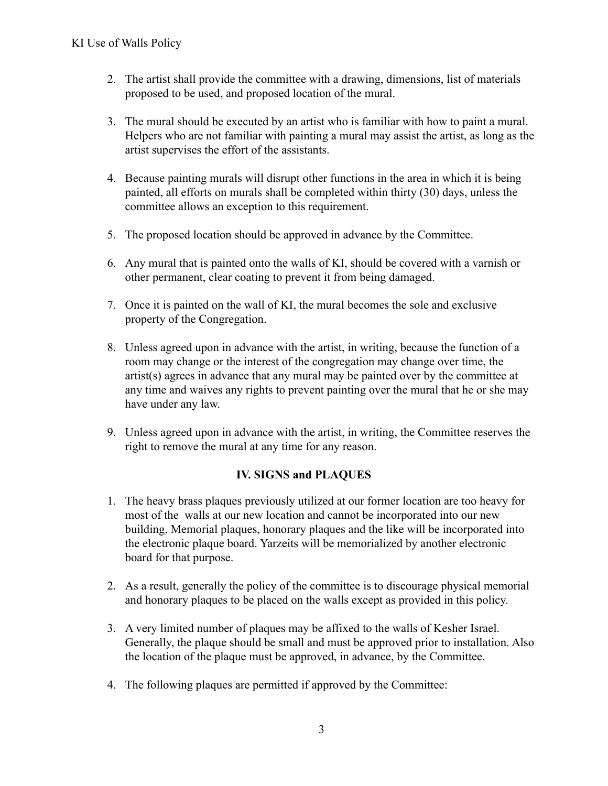- 2. The artist shall provide the committee with a drawing, dimensions, list of materials proposed to be used, and proposed location of the mural.
- 3. The mural should be executed by an artist who is familiar with how to paint a mural. Helpers who are not familiar with painting a mural may assist the artist, as long as the artist supervises the effort of the assistants.
- 4. Because painting murals will disrupt other functions in the area in which it is being painted, all efforts on murals shall be completed within thirty (30) days, unless the committee allows an exception to this requirement.
- 5. The proposed location should be approved in advance by the Committee.
- 6. Any mural that is painted onto the walls of KI, should be covered with a varnish or other permanent, clear coating to prevent it from being damaged.
- 7. Once it is painted on the wall of KI, the mural becomes the sole and exclusive property of the Congregation.
- 8. Unless agreed upon in advance with the artist, in writing, because the function of a room may change or the interest of the congregation may change over time, the artist(s) agrees in advance that any mural may be painted over by the committee at any time and waives any rights to prevent painting over the mural that he or she may have under any law.
- 9. Unless agreed upon in advance with the artist, in writing, the Committee reserves the right to remove the mural at any time for any reason.

# **IV. SIGNS and PLAQUES**

- 1. The heavy brass plaques previously utilized at our former location are too heavy for most of the walls at our new location and cannot be incorporated into our new building. Memorial plaques, honorary plaques and the like will be incorporated into the electronic plaque board. Yarzeits will be memorialized by another electronic board for that purpose.
- 2. As a result, generally the policy of the committee is to discourage physical memorial and honorary plaques to be placed on the walls except as provided in this policy.
- 3. A very limited number of plaques may be affixed to the walls of Kesher Israel. Generally, the plaque should be small and must be approved prior to installation. Also the location of the plaque must be approved, in advance, by the Committee.
- 4. The following plaques are permitted if approved by the Committee: